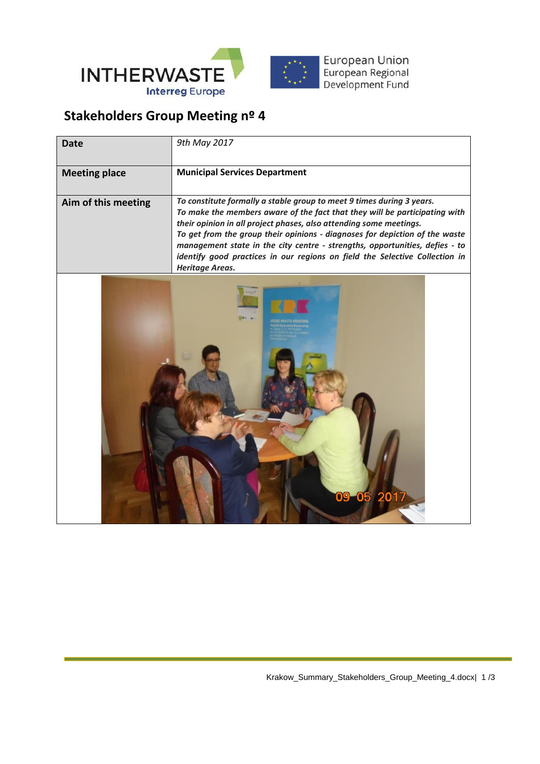

## **Stakeholders Group Meeting nº 4**

| <b>Date</b>          | 9th May 2017                                                                                                                                                                                                                                                                                                                                                                                                                                                                                     |
|----------------------|--------------------------------------------------------------------------------------------------------------------------------------------------------------------------------------------------------------------------------------------------------------------------------------------------------------------------------------------------------------------------------------------------------------------------------------------------------------------------------------------------|
| <b>Meeting place</b> | <b>Municipal Services Department</b>                                                                                                                                                                                                                                                                                                                                                                                                                                                             |
| Aim of this meeting  | To constitute formally a stable group to meet 9 times during 3 years.<br>To make the members aware of the fact that they will be participating with<br>their opinion in all project phases, also attending some meetings.<br>To get from the group their opinions - diagnoses for depiction of the waste<br>management state in the city centre - strengths, opportunities, defies - to<br>identify good practices in our regions on field the Selective Collection in<br><b>Heritage Areas.</b> |
| 09 05 201            |                                                                                                                                                                                                                                                                                                                                                                                                                                                                                                  |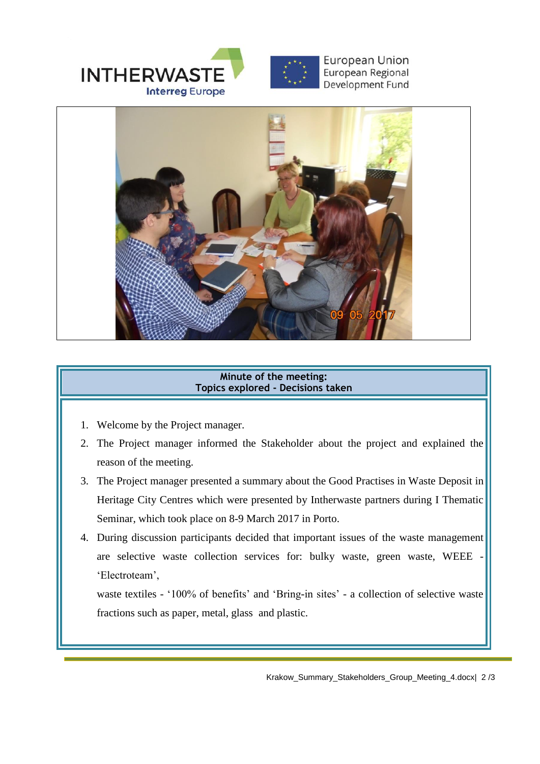



## **Minute of the meeting: Topics explored - Decisions taken**

- 1. Welcome by the Project manager.
- 2. The Project manager informed the Stakeholder about the project and explained the reason of the meeting.
- 3. The Project manager presented a summary about the Good Practises in Waste Deposit in Heritage City Centres which were presented by Intherwaste partners during I Thematic Seminar, which took place on 8-9 March 2017 in Porto.
- 4. During discussion participants decided that important issues of the waste management are selective waste collection services for: bulky waste, green waste, WEEE 'Electroteam',

waste textiles - '100% of benefits' and 'Bring-in sites' - a collection of selective waste fractions such as paper, metal, glass and plastic.